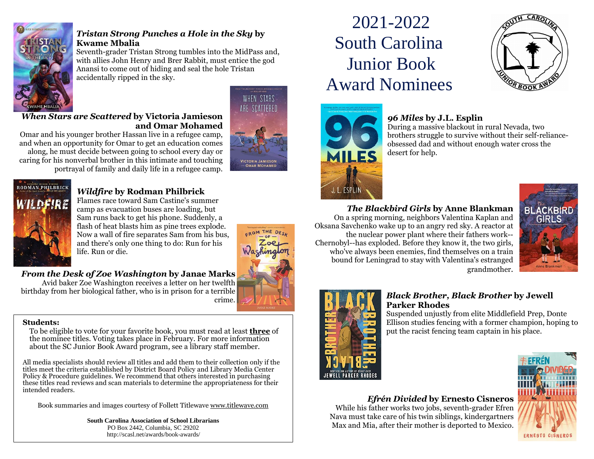

#### *Tristan Strong Punches a Hole in the Sky* **by Kwame Mbalia**

Seventh-grader Tristan Strong tumbles into the MidPass and, with allies John Henry and Brer Rabbit, must entice the god Anansi to come out of hiding and seal the hole Tristan accidentally ripped in the sky.

#### *When Stars are Scattered* **by Victoria Jamieson and Omar Mohamed** Omar and his younger brother Hassan live in a refugee camp,

and when an opportunity for Omar to get an education comes along, he must decide between going to school every day or caring for his nonverbal brother in this intimate and touching





#### *Wildfire* **by Rodman Philbrick**

portrayal of family and daily life in a refugee camp.

Flames race toward Sam Castine's summer camp as evacuation buses are loading, but Sam runs back to get his phone. Suddenly, a flash of heat blasts him as pine trees explode. Now a wall of fire separates Sam from his bus, and there's only one thing to do: Run for his life. Run or die.

#### *From the Desk of Zoe Washington* **by Janae Marks**

Avid baker Zoe Washington receives a letter on her twelfth birthday from her biological father, who is in prison for a terrible crime.

#### **Students:**

To be eligible to vote for your favorite book, you must read at least **three** of the nominee titles. Voting takes place in February. For more information about the SC Junior Book Award program, see a library staff member.

All media specialists should review all titles and add them to their collection only if the titles meet the criteria established by District Board Policy and Library Media Center Policy & Procedure guidelines. We recommend that others interested in purchasing these titles read reviews and scan materials to determine the appropriateness for their intended readers.

Book summaries and images courtesy of Follett Titlewave [www.titlewave.com](file:///C:/Users/gregorjm/Downloads/www.titlewave.com)

**South Carolina Association of School Librarians** PO Box 2442, Columbia, SC 29202 http://scasl.net/awards/book-awards/

# 2021-2022 South Carolina Junior Book Award Nominees



#### *96 Miles* **by J.L. Esplin**

During a massive blackout in rural Nevada, two brothers struggle to survive without their self-relianceobsessed dad and without enough water cross the desert for help.

### *The Blackbird Girls* **by Anne Blankman**

On a spring morning, neighbors Valentina Kaplan and Oksana Savchenko wake up to an angry red sky. A reactor at the nuclear power plant where their fathers work-- Chernobyl--has exploded. Before they know it, the two girls, who've always been enemies, find themselves on a train bound for Leningrad to stay with Valentina's estranged grandmother.





#### *Black Brother, Black Brother* **by Jewell Parker Rhodes**

Suspended unjustly from elite Middlefield Prep, Donte Ellison studies fencing with a former champion, hoping to put the racist fencing team captain in his place.

## *Efrén Divided* **by Ernesto Cisneros** While his father works two jobs, seventh-grader Efren Nava must take care of his twin siblings, kindergartners Max and Mia, after their mother is deported to Mexico. **ERNESTO CISNEROS**